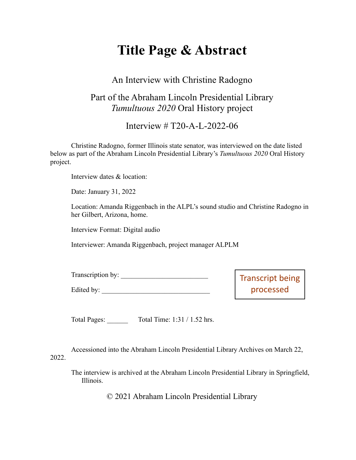# **Title Page & Abstract**

#### An Interview with Christine Radogno

### Part of the Abraham Lincoln Presidential Library *Tumultuous 2020* Oral History project

Interview # T20-A-L-2022-06

Christine Radogno, former Illinois state senator, was interviewed on the date listed below as part of the Abraham Lincoln Presidential Library's *Tumultuous 2020* Oral History project.

Interview dates & location:

Date: January 31, 2022

Location: Amanda Riggenbach in the ALPL's sound studio and Christine Radogno in her Gilbert, Arizona, home.

Interview Format: Digital audio

Interviewer: Amanda Riggenbach, project manager ALPLM

| Transcription by: | Transcript being |
|-------------------|------------------|
| Edited by:        | processed        |

Total Pages: Total Time: 1:31 / 1.52 hrs.

Accessioned into the Abraham Lincoln Presidential Library Archives on March 22, 2022.

The interview is archived at the Abraham Lincoln Presidential Library in Springfield, Illinois.

© 2021 Abraham Lincoln Presidential Library